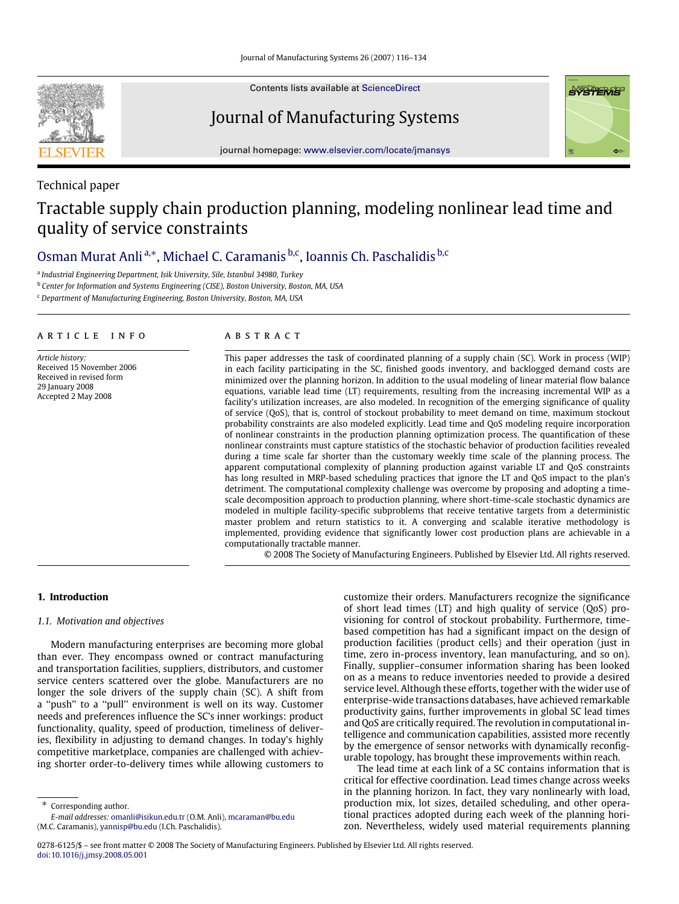

Contents lists available at [ScienceDirect](http://www.elsevier.com/locate/jmansys)

# Journal of Manufacturing Systems

journal homepage: [www.elsevier.com/locate/jmansys](http://www.elsevier.com/locate/jmansys)

Technical paper

# Tractable supply chain production planning, modeling nonlinear lead time and quality of service constraints

## Osman Murat Anli ª,\*, Michael C. Caramanis <sup>b,c</sup>, Ioannis Ch. Paschalidis <sup>b,c</sup>

a *Industrial Engineering Department, Isik University, Sile, Istanbul 34980, Turkey*

<sup>b</sup> *Center for Information and Systems Engineering (CISE), Boston University, Boston, MA, USA*

<sup>c</sup> *Department of Manufacturing Engineering, Boston University, Boston, MA, USA*

#### a r t i c l e i n f o

*Article history:* Received 15 November 2006 Received in revised form 29 January 2008 Accepted 2 May 2008

#### A B S T R A C T

This paper addresses the task of coordinated planning of a supply chain (SC). Work in process (WIP) in each facility participating in the SC, finished goods inventory, and backlogged demand costs are minimized over the planning horizon. In addition to the usual modeling of linear material flow balance equations, variable lead time (LT) requirements, resulting from the increasing incremental WIP as a facility's utilization increases, are also modeled. In recognition of the emerging significance of quality of service (QoS), that is, control of stockout probability to meet demand on time, maximum stockout probability constraints are also modeled explicitly. Lead time and QoS modeling require incorporation of nonlinear constraints in the production planning optimization process. The quantification of these nonlinear constraints must capture statistics of the stochastic behavior of production facilities revealed during a time scale far shorter than the customary weekly time scale of the planning process. The apparent computational complexity of planning production against variable LT and QoS constraints has long resulted in MRP-based scheduling practices that ignore the LT and QoS impact to the plan's detriment. The computational complexity challenge was overcome by proposing and adopting a timescale decomposition approach to production planning, where short-time-scale stochastic dynamics are modeled in multiple facility-specific subproblems that receive tentative targets from a deterministic master problem and return statistics to it. A converging and scalable iterative methodology is implemented, providing evidence that significantly lower cost production plans are achievable in a computationally tractable manner.

© 2008 The Society of Manufacturing Engineers. Published by Elsevier Ltd. All rights reserved.

### **1. Introduction**

#### *1.1. Motivation and objectives*

Modern manufacturing enterprises are becoming more global than ever. They encompass owned or contract manufacturing and transportation facilities, suppliers, distributors, and customer service centers scattered over the globe. Manufacturers are no longer the sole drivers of the supply chain (SC). A shift from a ''push'' to a ''pull'' environment is well on its way. Customer needs and preferences influence the SC's inner workings: product functionality, quality, speed of production, timeliness of deliveries, flexibility in adjusting to demand changes. In today's highly competitive marketplace, companies are challenged with achieving shorter order-to-delivery times while allowing customers to customize their orders. Manufacturers recognize the significance of short lead times (LT) and high quality of service (QoS) provisioning for control of stockout probability. Furthermore, timebased competition has had a significant impact on the design of production facilities (product cells) and their operation (just in time, zero in-process inventory, lean manufacturing, and so on). Finally, supplier–consumer information sharing has been looked on as a means to reduce inventories needed to provide a desired service level. Although these efforts, together with the wider use of enterprise-wide transactions databases, have achieved remarkable productivity gains, further improvements in global SC lead times and QoS are critically required. The revolution in computational intelligence and communication capabilities, assisted more recently by the emergence of sensor networks with dynamically reconfigurable topology, has brought these improvements within reach.

**AVELFEME®** 

The lead time at each link of a SC contains information that is critical for effective coordination. Lead times change across weeks in the planning horizon. In fact, they vary nonlinearly with load, production mix, lot sizes, detailed scheduling, and other operational practices adopted during each week of the planning horizon. Nevertheless, widely used material requirements planning

*E-mail addresses:* [omanli@isikun.edu.tr](mailto:omanli@isikun.edu.tr) (O.M. Anli), [mcaraman@bu.edu](mailto:mcaraman@bu.edu) (M.C. Caramanis), [yannisp@bu.edu](mailto:yannisp@bu.edu) (I.Ch. Paschalidis).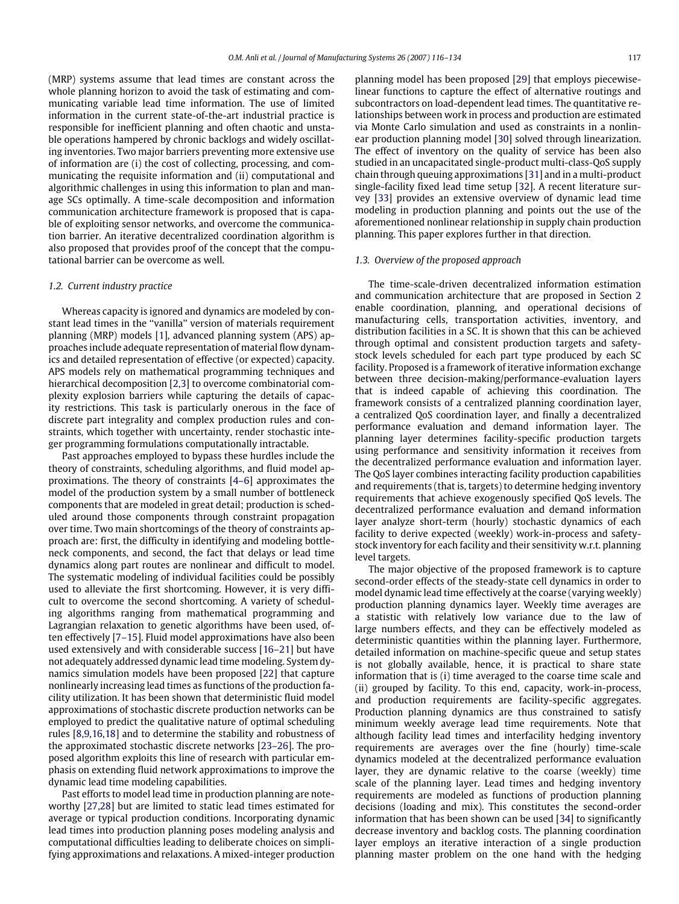(MRP) systems assume that lead times are constant across the whole planning horizon to avoid the task of estimating and communicating variable lead time information. The use of limited information in the current state-of-the-art industrial practice is responsible for inefficient planning and often chaotic and unstable operations hampered by chronic backlogs and widely oscillating inventories. Two major barriers preventing more extensive use of information are (i) the cost of collecting, processing, and communicating the requisite information and (ii) computational and algorithmic challenges in using this information to plan and manage SCs optimally. A time-scale decomposition and information communication architecture framework is proposed that is capable of exploiting sensor networks, and overcome the communication barrier. An iterative decentralized coordination algorithm is also proposed that provides proof of the concept that the computational barrier can be overcome as well.

#### *1.2. Current industry practice*

Whereas capacity is ignored and dynamics are modeled by constant lead times in the ''vanilla'' version of materials requirement planning (MRP) models [1], advanced planning system (APS) approaches include adequate representation of material flow dynamics and detailed representation of effective (or expected) capacity. APS models rely on mathematical programming techniques and hierarchical decomposition [2,3] to overcome combinatorial complexity explosion barriers while capturing the details of capacity restrictions. This task is particularly onerous in the face of discrete part integrality and complex production rules and constraints, which together with uncertainty, render stochastic integer programming formulations computationally intractable.

Past approaches employed to bypass these hurdles include the theory of constraints, scheduling algorithms, and fluid model approximations. The theory of constraints [4–6] approximates the model of the production system by a small number of bottleneck components that are modeled in great detail; production is scheduled around those components through constraint propagation over time. Two main shortcomings of the theory of constraints approach are: first, the difficulty in identifying and modeling bottleneck components, and second, the fact that delays or lead time dynamics along part routes are nonlinear and difficult to model. The systematic modeling of individual facilities could be possibly used to alleviate the first shortcoming. However, it is very difficult to overcome the second shortcoming. A variety of scheduling algorithms ranging from mathematical programming and Lagrangian relaxation to genetic algorithms have been used, often effectively [7–15]. Fluid model approximations have also been used extensively and with considerable success [16–21] but have not adequately addressed dynamic lead time modeling. System dynamics simulation models have been proposed [22] that capture nonlinearly increasing lead times as functions of the production facility utilization. It has been shown that deterministic fluid model approximations of stochastic discrete production networks can be employed to predict the qualitative nature of optimal scheduling rules [8,9,16,18] and to determine the stability and robustness of the approximated stochastic discrete networks [23–26]. The proposed algorithm exploits this line of research with particular emphasis on extending fluid network approximations to improve the dynamic lead time modeling capabilities.

Past efforts to model lead time in production planning are noteworthy [27,28] but are limited to static lead times estimated for average or typical production conditions. Incorporating dynamic lead times into production planning poses modeling analysis and computational difficulties leading to deliberate choices on simplifying approximations and relaxations. A mixed-integer production planning model has been proposed [29] that employs piecewiselinear functions to capture the effect of alternative routings and subcontractors on load-dependent lead times. The quantitative relationships between work in process and production are estimated via Monte Carlo simulation and used as constraints in a nonlinear production planning model [30] solved through linearization. The effect of inventory on the quality of service has been also studied in an uncapacitated single-product multi-class-QoS supply chain through queuing approximations [31] and in a multi-product single-facility fixed lead time setup [32]. A recent literature survey [33] provides an extensive overview of dynamic lead time modeling in production planning and points out the use of the aforementioned nonlinear relationship in supply chain production planning. This paper explores further in that direction.

#### *1.3. Overview of the proposed approach*

The time-scale-driven decentralized information estimation and communication architecture that are proposed in Section 2 enable coordination, planning, and operational decisions of manufacturing cells, transportation activities, inventory, and distribution facilities in a SC. It is shown that this can be achieved through optimal and consistent production targets and safetystock levels scheduled for each part type produced by each SC facility. Proposed is a framework of iterative information exchange between three decision-making/performance-evaluation layers that is indeed capable of achieving this coordination. The framework consists of a centralized planning coordination layer, a centralized QoS coordination layer, and finally a decentralized performance evaluation and demand information layer. The planning layer determines facility-specific production targets using performance and sensitivity information it receives from the decentralized performance evaluation and information layer. The QoS layer combines interacting facility production capabilities and requirements (that is, targets) to determine hedging inventory requirements that achieve exogenously specified QoS levels. The decentralized performance evaluation and demand information layer analyze short-term (hourly) stochastic dynamics of each facility to derive expected (weekly) work-in-process and safetystock inventory for each facility and their sensitivity w.r.t. planning level targets.

The major objective of the proposed framework is to capture second-order effects of the steady-state cell dynamics in order to model dynamic lead time effectively at the coarse (varying weekly) production planning dynamics layer. Weekly time averages are a statistic with relatively low variance due to the law of large numbers effects, and they can be effectively modeled as deterministic quantities within the planning layer. Furthermore, detailed information on machine-specific queue and setup states is not globally available, hence, it is practical to share state information that is (i) time averaged to the coarse time scale and (ii) grouped by facility. To this end, capacity, work-in-process, and production requirements are facility-specific aggregates. Production planning dynamics are thus constrained to satisfy minimum weekly average lead time requirements. Note that although facility lead times and interfacility hedging inventory requirements are averages over the fine (hourly) time-scale dynamics modeled at the decentralized performance evaluation layer, they are dynamic relative to the coarse (weekly) time scale of the planning layer. Lead times and hedging inventory requirements are modeled as functions of production planning decisions (loading and mix). This constitutes the second-order information that has been shown can be used [34] to significantly decrease inventory and backlog costs. The planning coordination layer employs an iterative interaction of a single production planning master problem on the one hand with the hedging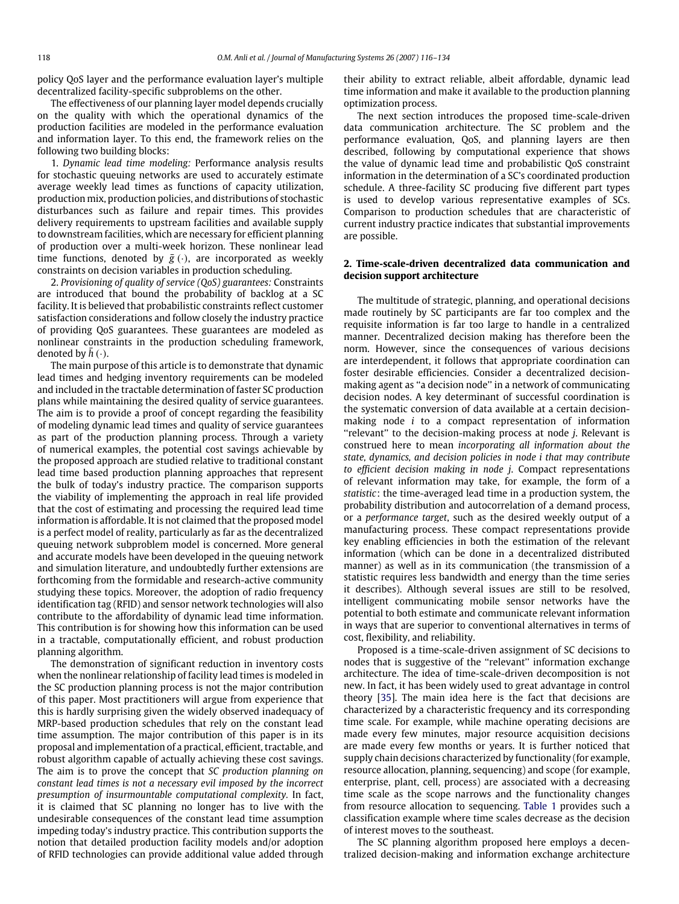policy QoS layer and the performance evaluation layer's multiple decentralized facility-specific subproblems on the other.

The effectiveness of our planning layer model depends crucially on the quality with which the operational dynamics of the production facilities are modeled in the performance evaluation and information layer. To this end, the framework relies on the following two building blocks:

1. *Dynamic lead time modeling:* Performance analysis results for stochastic queuing networks are used to accurately estimate average weekly lead times as functions of capacity utilization, production mix, production policies, and distributions of stochastic disturbances such as failure and repair times. This provides delivery requirements to upstream facilities and available supply to downstream facilities, which are necessary for efficient planning of production over a multi-week horizon. These nonlinear lead time functions, denoted by  $\bar{g}(\cdot)$ , are incorporated as weekly constraints on decision variables in production scheduling.

2. *Provisioning of quality of service (QoS) guarantees:* Constraints are introduced that bound the probability of backlog at a SC facility. It is believed that probabilistic constraints reflect customer satisfaction considerations and follow closely the industry practice of providing QoS guarantees. These guarantees are modeled as nonlinear constraints in the production scheduling framework, denoted by  $h(\cdot)$ .

The main purpose of this article is to demonstrate that dynamic lead times and hedging inventory requirements can be modeled and included in the tractable determination of faster SC production plans while maintaining the desired quality of service guarantees. The aim is to provide a proof of concept regarding the feasibility of modeling dynamic lead times and quality of service guarantees as part of the production planning process. Through a variety of numerical examples, the potential cost savings achievable by the proposed approach are studied relative to traditional constant lead time based production planning approaches that represent the bulk of today's industry practice. The comparison supports the viability of implementing the approach in real life provided that the cost of estimating and processing the required lead time information is affordable. It is not claimed that the proposed model is a perfect model of reality, particularly as far as the decentralized queuing network subproblem model is concerned. More general and accurate models have been developed in the queuing network and simulation literature, and undoubtedly further extensions are forthcoming from the formidable and research-active community studying these topics. Moreover, the adoption of radio frequency identification tag (RFID) and sensor network technologies will also contribute to the affordability of dynamic lead time information. This contribution is for showing how this information can be used in a tractable, computationally efficient, and robust production planning algorithm.

The demonstration of significant reduction in inventory costs when the nonlinear relationship of facility lead times is modeled in the SC production planning process is not the major contribution of this paper. Most practitioners will argue from experience that this is hardly surprising given the widely observed inadequacy of MRP-based production schedules that rely on the constant lead time assumption. The major contribution of this paper is in its proposal and implementation of a practical, efficient, tractable, and robust algorithm capable of actually achieving these cost savings. The aim is to prove the concept that *SC production planning on constant lead times is not a necessary evil imposed by the incorrect presumption of insurmountable computational complexity.* In fact, it is claimed that SC planning no longer has to live with the undesirable consequences of the constant lead time assumption impeding today's industry practice. This contribution supports the notion that detailed production facility models and/or adoption of RFID technologies can provide additional value added through their ability to extract reliable, albeit affordable, dynamic lead time information and make it available to the production planning optimization process.

The next section introduces the proposed time-scale-driven data communication architecture. The SC problem and the performance evaluation, QoS, and planning layers are then described, following by computational experience that shows the value of dynamic lead time and probabilistic QoS constraint information in the determination of a SC's coordinated production schedule. A three-facility SC producing five different part types is used to develop various representative examples of SCs. Comparison to production schedules that are characteristic of current industry practice indicates that substantial improvements are possible.

#### **2. Time-scale-driven decentralized data communication and decision support architecture**

The multitude of strategic, planning, and operational decisions made routinely by SC participants are far too complex and the requisite information is far too large to handle in a centralized manner. Decentralized decision making has therefore been the norm. However, since the consequences of various decisions are interdependent, it follows that appropriate coordination can foster desirable efficiencies. Consider a decentralized decisionmaking agent as ''a decision node'' in a network of communicating decision nodes. A key determinant of successful coordination is the systematic conversion of data available at a certain decisionmaking node *i* to a compact representation of information ''relevant'' to the decision-making process at node *j*. Relevant is construed here to mean *incorporating all information about the state, dynamics, and decision policies in node i that may contribute to efficient decision making in node j*. Compact representations of relevant information may take, for example, the form of a *statistic*: the time-averaged lead time in a production system, the probability distribution and autocorrelation of a demand process, or a *performance target*, such as the desired weekly output of a manufacturing process. These compact representations provide key enabling efficiencies in both the estimation of the relevant information (which can be done in a decentralized distributed manner) as well as in its communication (the transmission of a statistic requires less bandwidth and energy than the time series it describes). Although several issues are still to be resolved, intelligent communicating mobile sensor networks have the potential to both estimate and communicate relevant information in ways that are superior to conventional alternatives in terms of cost, flexibility, and reliability.

Proposed is a time-scale-driven assignment of SC decisions to nodes that is suggestive of the ''relevant'' information exchange architecture. The idea of time-scale-driven decomposition is not new. In fact, it has been widely used to great advantage in control theory [35]. The main idea here is the fact that decisions are characterized by a characteristic frequency and its corresponding time scale. For example, while machine operating decisions are made every few minutes, major resource acquisition decisions are made every few months or years. It is further noticed that supply chain decisions characterized by functionality (for example, resource allocation, planning, sequencing) and scope (for example, enterprise, plant, cell, process) are associated with a decreasing time scale as the scope narrows and the functionality changes from resource allocation to sequencing. Table 1 provides such a classification example where time scales decrease as the decision of interest moves to the southeast.

The SC planning algorithm proposed here employs a decentralized decision-making and information exchange architecture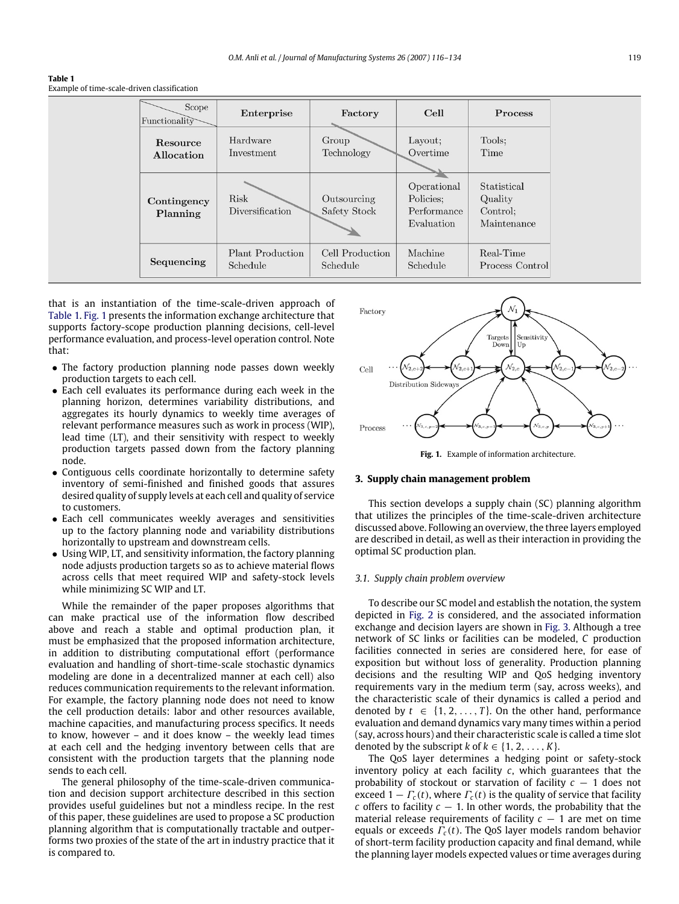**Table 1** Example of time-scale-driven classification

| Scope<br>Functionality  | Enterprise                     | Factory                     | Cell                                                  | Process                                           |
|-------------------------|--------------------------------|-----------------------------|-------------------------------------------------------|---------------------------------------------------|
| Resource                | Hardware                       | Group                       | Layout;                                               | Tools:                                            |
| Allocation              | Investment                     | Technology                  | Overtime                                              | Time                                              |
| Contingency<br>Planning | <b>Risk</b><br>Diversification | Outsourcing<br>Safety Stock | Operational<br>Policies:<br>Performance<br>Evaluation | Statistical<br>Quality<br>Control:<br>Maintenance |
| Sequencing              | Plant Production               | Cell Production             | Machine                                               | Real-Time                                         |
|                         | Schedule                       | Schedule                    | Schedule                                              | Process Control                                   |

that is an instantiation of the time-scale-driven approach of Table 1. Fig. 1 presents the information exchange architecture that supports factory-scope production planning decisions, cell-level performance evaluation, and process-level operation control. Note that:

- The factory production planning node passes down weekly production targets to each cell.
- Each cell evaluates its performance during each week in the planning horizon, determines variability distributions, and aggregates its hourly dynamics to weekly time averages of relevant performance measures such as work in process (WIP), lead time (LT), and their sensitivity with respect to weekly production targets passed down from the factory planning node.
- Contiguous cells coordinate horizontally to determine safety inventory of semi-finished and finished goods that assures desired quality of supply levels at each cell and quality of service to customers.
- Each cell communicates weekly averages and sensitivities up to the factory planning node and variability distributions horizontally to upstream and downstream cells.
- Using WIP, LT, and sensitivity information, the factory planning node adjusts production targets so as to achieve material flows across cells that meet required WIP and safety-stock levels while minimizing SC WIP and LT.

While the remainder of the paper proposes algorithms that can make practical use of the information flow described above and reach a stable and optimal production plan, it must be emphasized that the proposed information architecture, in addition to distributing computational effort (performance evaluation and handling of short-time-scale stochastic dynamics modeling are done in a decentralized manner at each cell) also reduces communication requirements to the relevant information. For example, the factory planning node does not need to know the cell production details: labor and other resources available, machine capacities, and manufacturing process specifics. It needs to know, however – and it does know – the weekly lead times at each cell and the hedging inventory between cells that are consistent with the production targets that the planning node sends to each cell.

The general philosophy of the time-scale-driven communication and decision support architecture described in this section provides useful guidelines but not a mindless recipe. In the rest of this paper, these guidelines are used to propose a SC production planning algorithm that is computationally tractable and outperforms two proxies of the state of the art in industry practice that it is compared to.



## **3. Supply chain management problem**

This section develops a supply chain (SC) planning algorithm that utilizes the principles of the time-scale-driven architecture discussed above. Following an overview, the three layers employed are described in detail, as well as their interaction in providing the optimal SC production plan.

#### *3.1. Supply chain problem overview*

To describe our SC model and establish the notation, the system depicted in Fig. 2 is considered, and the associated information exchange and decision layers are shown in Fig. 3. Although a tree network of SC links or facilities can be modeled, *C* production facilities connected in series are considered here, for ease of exposition but without loss of generality. Production planning decisions and the resulting WIP and QoS hedging inventory requirements vary in the medium term (say, across weeks), and the characteristic scale of their dynamics is called a period and denoted by  $t \in \{1, 2, ..., T\}$ . On the other hand, performance evaluation and demand dynamics vary many times within a period (say, across hours) and their characteristic scale is called a time slot denoted by the subscript  $k$  of  $k \in \{1, 2, \ldots, K\}$ .

The QoS layer determines a hedging point or safety-stock inventory policy at each facility *c*, which guarantees that the probability of stockout or starvation of facility *c* − 1 does not exceed  $1 - \Gamma_c(t)$ , where  $\Gamma_c(t)$  is the quality of service that facility *c* offers to facility  $c - 1$ . In other words, the probability that the material release requirements of facility  $c - 1$  are met on time equals or exceeds Γ*<sup>c</sup>* (*t*). The QoS layer models random behavior of short-term facility production capacity and final demand, while the planning layer models expected values or time averages during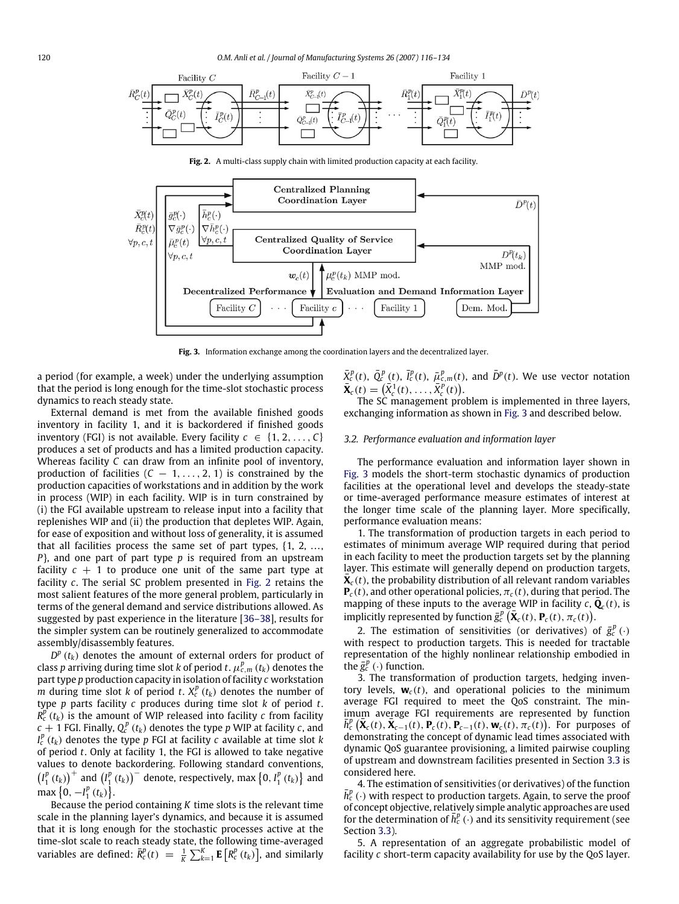

**Fig. 2.** A multi-class supply chain with limited production capacity at each facility.



**Fig. 3.** Information exchange among the coordination layers and the decentralized layer.

a period (for example, a week) under the underlying assumption that the period is long enough for the time-slot stochastic process dynamics to reach steady state.

External demand is met from the available finished goods inventory in facility 1, and it is backordered if finished goods inventory (FGI) is not available. Every facility  $c \in \{1, 2, ..., C\}$ produces a set of products and has a limited production capacity. Whereas facility *C* can draw from an infinite pool of inventory, production of facilities  $(C - 1, \ldots, 2, 1)$  is constrained by the production capacities of workstations and in addition by the work in process (WIP) in each facility. WIP is in turn constrained by (i) the FGI available upstream to release input into a facility that replenishes WIP and (ii) the production that depletes WIP. Again, for ease of exposition and without loss of generality, it is assumed that all facilities process the same set of part types,  $\{1, 2, \ldots\}$ *P*}, and one part of part type *p* is required from an upstream facility  $c + 1$  to produce one unit of the same part type at facility *c*. The serial SC problem presented in Fig. 2 retains the most salient features of the more general problem, particularly in terms of the general demand and service distributions allowed. As suggested by past experience in the literature [36–38], results for the simpler system can be routinely generalized to accommodate assembly/disassembly features.

 $D^p$  ( $t_k$ ) denotes the amount of external orders for product of class  $p$  arriving during time slot  $k$  of period  $t$ .  $\mu_{c,m}^p(t_k)$  denotes the part type *p* production capacity in isolation of facility *c* workstation *m* during time slot *k* of period *t*.  $X_c^p(t_k)$  denotes the number of type *p* parts facility *c* produces during time slot *k* of period *t*.  $R_c^{\overline{p}}(t_k)$  is the amount of WIP released into facility *c* from facility  $c + 1$  FGI. Finally,  $Q_c^p$  ( $t_k$ ) denotes the type  $p$  WIP at facility  $c$ , and  $I_c^p(t_k)$  denotes the type *p* FGI at facility *c* available at time slot *k* of period *t*. Only at facility 1, the FGI is allowed to take negative values to denote backordering. Following standard conventions,  $(I_1^p(t_k))^+$  and  $(I_1^p(t_k))^-\$  denote, respectively, max  $\{0, I_1^p(t_k)\}$  and  $\max\left\{0, -I_1^p(t_k)\right\}.$ 

Because the period containing *K* time slots is the relevant time scale in the planning layer's dynamics, and because it is assumed that it is long enough for the stochastic processes active at the time-slot scale to reach steady state, the following time-averaged<br>variables are defined:  $\bar{R}_c^p(t) \;=\; \frac{1}{K}\sum_{k=1}^K \mathbf{E}\left[R_c^p\left(t_k\right)\right]$ , and similarly

 $\bar{X}_c^p(t)$ ,  $\bar{Q}_c^p(t)$ ,  $\bar{I}_c^p(t)$ ,  $\bar{\mu}_{c,m}^p(t)$ , and  $\bar{D}^p(t)$ . We use vector notation  $\bar{\mathbf{X}}_c(t) = (\bar{X}_c^1(t), \dots, \bar{X}_c^P(t)).$ 

The SC management problem is implemented in three layers, exchanging information as shown in Fig. 3 and described below.

#### *3.2. Performance evaluation and information layer*

The performance evaluation and information layer shown in Fig. 3 models the short-term stochastic dynamics of production facilities at the operational level and develops the steady-state or time-averaged performance measure estimates of interest at the longer time scale of the planning layer. More specifically, performance evaluation means:

1. The transformation of production targets in each period to estimates of minimum average WIP required during that period in each facility to meet the production targets set by the planning layer. This estimate will generally depend on production targets,  $\overline{\mathbf{X}}_c(t)$ , the probability distribution of all relevant random variables  ${\bf P}_c(t)$ , and other operational policies,  $\pi_c(t)$ , during that period. The mapping of these inputs to the average WIP in facility  $c$ ,  $\bar{Q}_c(t)$ , is implicitly represented by function  $\bar{g}_c^p(\bar{\mathbf{X}}_c(t), \mathbf{P}_c(t), \pi_c(t))$ .

2. The estimation of sensitivities (or derivatives) of  $\bar{g}_c^p$  (·) with respect to production targets. This is needed for tractable representation of the highly nonlinear relationship embodied in the  $\bar{g}_c^p$  (·) function.

3. The transformation of production targets, hedging inventory levels,  $w_c(t)$ , and operational policies to the minimum average FGI required to meet the QoS constraint. The minimum average FGI requirements are represented by function  $\bar{h}_c^p$  ( $\bar{\mathbf{X}}_c(t)$ ,  $\bar{\mathbf{X}}_{c-1}(t)$ ,  $\mathbf{P}_c(t)$ ,  $\mathbf{P}_{c-1}(t)$ ,  $\mathbf{w}_c(t)$ ,  $\pi_c(t)$ ). For purposes of demonstrating the concept of dynamic lead times associated with dynamic QoS guarantee provisioning, a limited pairwise coupling of upstream and downstream facilities presented in Section 3.3 is considered here.

4. The estimation of sensitivities (or derivatives) of the function  $\bar{h}_c^p$  (·) with respect to production targets. Again, to serve the proof of concept objective, relatively simple analytic approaches are used for the determination of  $\bar{h}_c^p$  (·) and its sensitivity requirement (see Section 3.3).

5. A representation of an aggregate probabilistic model of facility *c* short-term capacity availability for use by the QoS layer.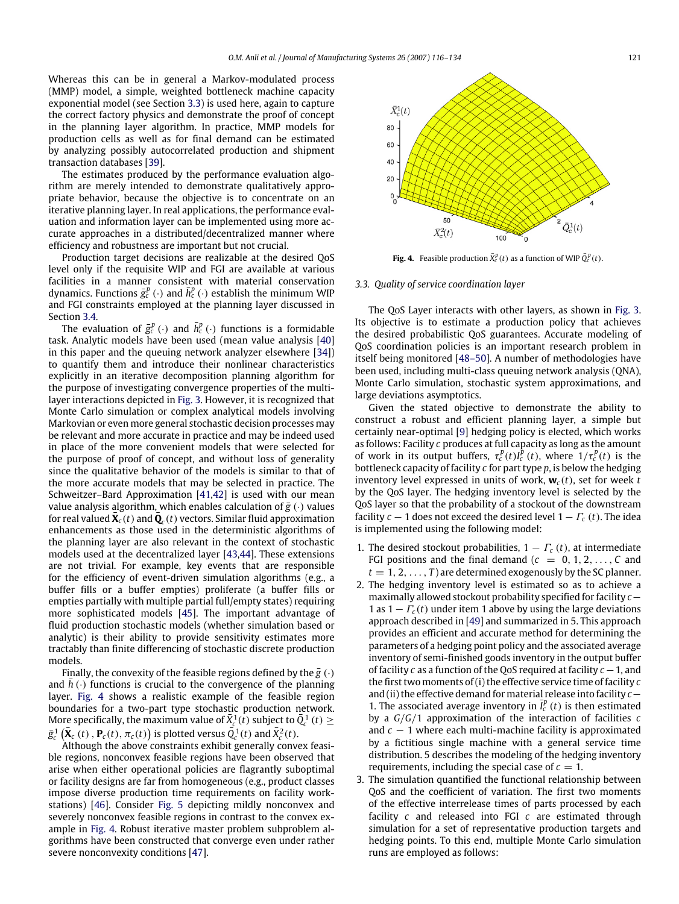Whereas this can be in general a Markov-modulated process (MMP) model, a simple, weighted bottleneck machine capacity exponential model (see Section 3.3) is used here, again to capture the correct factory physics and demonstrate the proof of concept in the planning layer algorithm. In practice, MMP models for production cells as well as for final demand can be estimated by analyzing possibly autocorrelated production and shipment transaction databases [39].

The estimates produced by the performance evaluation algorithm are merely intended to demonstrate qualitatively appropriate behavior, because the objective is to concentrate on an iterative planning layer. In real applications, the performance evaluation and information layer can be implemented using more accurate approaches in a distributed/decentralized manner where efficiency and robustness are important but not crucial.

Production target decisions are realizable at the desired QoS level only if the requisite WIP and FGI are available at various facilities in a manner consistent with material conservation dynamics. Functions  $\bar{g}_c^p\left(\cdot\right)$  and  $\bar{h}_c^p\left(\cdot\right)$  establish the minimum WIP and FGI constraints employed at the planning layer discussed in Section 3.4.

The evaluation of  $\bar{g}_c^p\left(\cdot\right)$  and  $\bar{h}_c^p\left(\cdot\right)$  functions is a formidable task. Analytic models have been used (mean value analysis [40] in this paper and the queuing network analyzer elsewhere [34]) to quantify them and introduce their nonlinear characteristics explicitly in an iterative decomposition planning algorithm for the purpose of investigating convergence properties of the multilayer interactions depicted in Fig. 3. However, it is recognized that Monte Carlo simulation or complex analytical models involving Markovian or even more general stochastic decision processes may be relevant and more accurate in practice and may be indeed used in place of the more convenient models that were selected for the purpose of proof of concept, and without loss of generality since the qualitative behavior of the models is similar to that of the more accurate models that may be selected in practice. The Schweitzer–Bard Approximation [41,42] is used with our mean value analysis algorithm, which enables calculation of  $\bar{g}(\cdot)$  values for real valued  $\bar{\mathbf{X}}_c(t)$  and  $\bar{\mathbf{Q}}_c(t)$  vectors. Similar fluid approximation enhancements as those used in the deterministic algorithms of the planning layer are also relevant in the context of stochastic models used at the decentralized layer [43,44]. These extensions are not trivial. For example, key events that are responsible for the efficiency of event-driven simulation algorithms (e.g., a buffer fills or a buffer empties) proliferate (a buffer fills or empties partially with multiple partial full/empty states) requiring more sophisticated models [45]. The important advantage of fluid production stochastic models (whether simulation based or analytic) is their ability to provide sensitivity estimates more tractably than finite differencing of stochastic discrete production models.

Finally, the convexity of the feasible regions defined by the  $\bar{g}(\cdot)$ and  $\bar{h}(\cdot)$  functions is crucial to the convergence of the planning layer. Fig. 4 shows a realistic example of the feasible region boundaries for a two-part type stochastic production network. More specifically, the maximum value of  $\bar{X}_{c}^{1}(t)$  subject to  $\bar{Q}_{c}^{1}(t) \geq$  $\bar{g}_c^1\left(\bar{\mathbf{X}}_c\left(t\right),\mathbf{P}_c(t),\pi_c(t)\right)$  is plotted versus  $\bar{Q}_c^1(t)$  and  $\bar{X}_c^2(t)$ .

Although the above constraints exhibit generally convex feasible regions, nonconvex feasible regions have been observed that arise when either operational policies are flagrantly suboptimal or facility designs are far from homogeneous (e.g., product classes impose diverse production time requirements on facility workstations) [46]. Consider Fig. 5 depicting mildly nonconvex and severely nonconvex feasible regions in contrast to the convex example in Fig. 4. Robust iterative master problem subproblem algorithms have been constructed that converge even under rather severe nonconvexity conditions [47].



**Fig. 4.** Feasible production  $\bar{X}_c^p(t)$  as a function of WIP  $\bar{Q}_c^p(t)$ .

#### *3.3. Quality of service coordination layer*

The QoS Layer interacts with other layers, as shown in Fig. 3. Its objective is to estimate a production policy that achieves the desired probabilistic QoS guarantees. Accurate modeling of QoS coordination policies is an important research problem in itself being monitored [48–50]. A number of methodologies have been used, including multi-class queuing network analysis (QNA), Monte Carlo simulation, stochastic system approximations, and large deviations asymptotics.

Given the stated objective to demonstrate the ability to construct a robust and efficient planning layer, a simple but certainly near-optimal [9] hedging policy is elected, which works as follows: Facility *c* produces at full capacity as long as the amount of work in its output buffers,  $\tau_c^p(t)I_c^p(t)$ , where  $1/\tau_c^p(t)$  is the bottleneck capacity of facility *c* for part type *p*, is below the hedging inventory level expressed in units of work,  $\mathbf{w}_c(t)$ , set for week *t* by the QoS layer. The hedging inventory level is selected by the QoS layer so that the probability of a stockout of the downstream facility  $c - 1$  does not exceed the desired level  $1 - \Gamma_c(t)$ . The idea is implemented using the following model:

- 1. The desired stockout probabilities,  $1 \Gamma_c(t)$ , at intermediate FGI positions and the final demand  $(c = 0, 1, 2, \ldots, C$  and  $t = 1, 2, \ldots, T$  are determined exogenously by the SC planner.
- 2. The hedging inventory level is estimated so as to achieve a maximally allowed stockout probability specified for facility *c*− 1 as  $1 - \Gamma_c(t)$  under item 1 above by using the large deviations approach described in [49] and summarized in 5. This approach provides an efficient and accurate method for determining the parameters of a hedging point policy and the associated average inventory of semi-finished goods inventory in the output buffer of facility *c* as a function of the QoS required at facility *c*−1, and the first two moments of (i) the effective service time of facility *c* and (ii) the effective demand for material release into facility *c*− 1. The associated average inventory in  $\bar{I}_c^p(t)$  is then estimated by a *G*/*G*/1 approximation of the interaction of facilities *c* and  $c - 1$  where each multi-machine facility is approximated by a fictitious single machine with a general service time distribution. 5 describes the modeling of the hedging inventory requirements, including the special case of  $c = 1$ .
- 3. The simulation quantified the functional relationship between QoS and the coefficient of variation. The first two moments of the effective interrelease times of parts processed by each facility *c* and released into FGI *c* are estimated through simulation for a set of representative production targets and hedging points. To this end, multiple Monte Carlo simulation runs are employed as follows: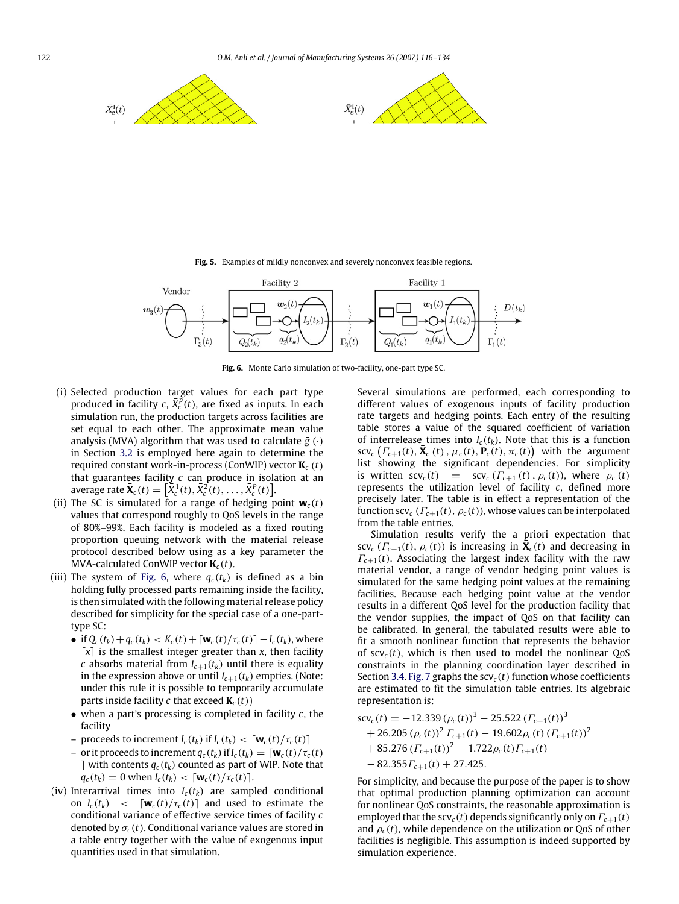**Fig. 5.** Examples of mildly nonconvex and severely nonconvex feasible regions.



**Fig. 6.** Monte Carlo simulation of two-facility, one-part type SC.

- (i) Selected production target values for each part type produced in facility *c*,  $\bar{X}_c^p(t)$ , are fixed as inputs. In each simulation run, the production targets across facilities are set equal to each other. The approximate mean value analysis (MVA) algorithm that was used to calculate  $\bar{g}(\cdot)$ in Section 3.2 is employed here again to determine the required constant work-in-process (ConWIP) vector **K***<sup>c</sup>* (*t*) that guarantees facility *c* can produce in isolation at an average rate  $\bar{\mathbf{X}}_c(t) = \left[\bar{\tilde{X}}_c^1(t), \bar{X}_c^2(t), \ldots, \bar{X}_c^p(t)\right]$ .
- (ii) The SC is simulated for a range of hedging point  $\mathbf{w}_c(t)$ values that correspond roughly to QoS levels in the range of 80%–99%. Each facility is modeled as a fixed routing proportion queuing network with the material release protocol described below using as a key parameter the MVA-calculated ConWIP vector  $\mathbf{K}_c(t)$ .
- (iii) The system of Fig. 6, where  $q_c(t_k)$  is defined as a bin holding fully processed parts remaining inside the facility, is then simulated with the following material release policy described for simplicity for the special case of a one-parttype SC:
	- if  $Q_c(t_k) + q_c(t_k) < K_c(t) + \left[ \frac{w_c(t)}{\tau_c(t)} \right] I_c(t_k)$ , where  $\lceil x \rceil$  is the smallest integer greater than *x*, then facility *c* absorbs material from  $I_{c+1}(t_k)$  until there is equality in the expression above or until  $I_{c+1}(t_k)$  empties. (Note: under this rule it is possible to temporarily accumulate parts inside facility *c* that exceed  $\mathbf{K}_c(t)$ )
	- when a part's processing is completed in facility *c*, the facility
	- $-$  proceeds to increment  $I_c(t_k)$  if  $I_c(t_k) < \left[\mathbf{w}_c(t)/\tau_c(t)\right]$
	- $-$  or it proceeds to increment  $q_c(t_k)$  if  $I_c(t_k) = \frac{w_c(t)}{\tau_c(t)}$  $\lceil$  with contents  $q_c(t_k)$  counted as part of WIP. Note that  $q_c(t_k) = 0$  when  $I_c(t_k) < \left[ \mathbf{w}_c(t) / \tau_c(t) \right].$
- (iv) Interarrival times into  $I_c(t_k)$  are sampled conditional on  $I_c(t_k)$  <  $\lceil \mathbf{w}_c(t)/\tau_c(t) \rceil$  and used to estimate the conditional variance of effective service times of facility *c* denoted by  $\sigma_c(t)$ . Conditional variance values are stored in a table entry together with the value of exogenous input quantities used in that simulation.

Several simulations are performed, each corresponding to different values of exogenous inputs of facility production rate targets and hedging points. Each entry of the resulting table stores a value of the squared coefficient of variation of interrelease times into  $I_c(t_k)$ . Note that this is a function  $\mathbf{Sov}_{c}$   $(\Gamma_{c+1}(t), \mathbf{\bar{X}}_{c}(t), \mu_{c}(t), \mathbf{P}_{c}(t), \pi_{c}(t))$  with the argument list showing the significant dependencies. For simplicity is written  $scv_c(t) = scv_c(\Gamma_{c+1}(t), \rho_c(t))$ , where  $\rho_c(t)$ represents the utilization level of facility *c*, defined more precisely later. The table is in effect a representation of the function scv<sub>c</sub>  $(\Gamma_{c+1}(t), \rho_c(t))$ , whose values can be interpolated from the table entries.

Simulation results verify the a priori expectation that scv<sub>c</sub> ( $\Gamma_{c+1}(t)$ ,  $\rho_c(t)$ ) is increasing in  $\mathbf{X}_c(t)$  and decreasing in  $\Gamma_{c+1}(t)$ . Associating the largest index facility with the raw material vendor, a range of vendor hedging point values is simulated for the same hedging point values at the remaining facilities. Because each hedging point value at the vendor results in a different QoS level for the production facility that the vendor supplies, the impact of QoS on that facility can be calibrated. In general, the tabulated results were able to fit a smooth nonlinear function that represents the behavior of  $scv_c(t)$ , which is then used to model the nonlinear QoS constraints in the planning coordination layer described in Section 3.4. Fig. 7 graphs the  $scv_c(t)$  function whose coefficients are estimated to fit the simulation table entries. Its algebraic representation is:

$$
scv_c(t) = -12.339 (\rho_c(t))^3 - 25.522 (T_{c+1}(t))^3
$$
  
+ 26.205 (\rho\_c(t))^2 T\_{c+1}(t) - 19.602 \rho\_c(t) (T\_{c+1}(t))^2  
+ 85.276 (T\_{c+1}(t))^2 + 1.722 \rho\_c(t) T\_{c+1}(t)  
- 82.355 T\_{c+1}(t) + 27.425.

For simplicity, and because the purpose of the paper is to show that optimal production planning optimization can account for nonlinear QoS constraints, the reasonable approximation is employed that the scv<sub>c</sub>(*t*) depends significantly only on  $\Gamma_{c+1}(t)$ and  $\rho_c(t)$ , while dependence on the utilization or QoS of other facilities is negligible. This assumption is indeed supported by simulation experience.